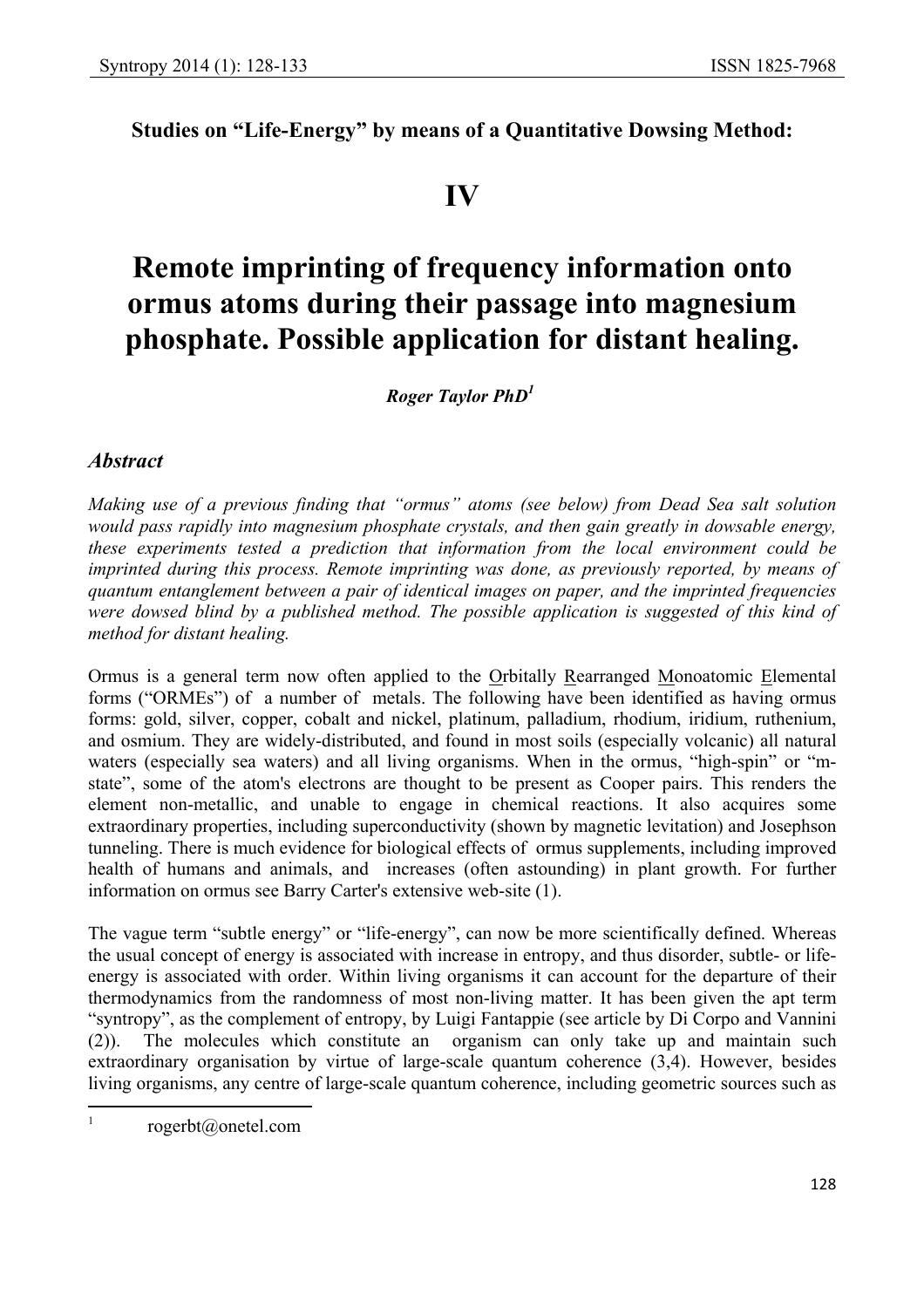**Studies on "Life-Energy" by means of a Quantitative Dowsing Method:**

## **IV**

# **Remote imprinting of frequency information onto ormus atoms during their passage into magnesium phosphate. Possible application for distant healing.**

 *Roger Taylor PhD1*

### *Abstract*

*Making use of a previous finding that "ormus" atoms (see below) from Dead Sea salt solution would pass rapidly into magnesium phosphate crystals, and then gain greatly in dowsable energy, these experiments tested a prediction that information from the local environment could be imprinted during this process. Remote imprinting was done, as previously reported, by means of quantum entanglement between a pair of identical images on paper, and the imprinted frequencies*  were dowsed blind by a published method. The possible application is suggested of this kind of *method for distant healing.*

Ormus is a general term now often applied to the Orbitally Rearranged Monoatomic Elemental forms ("ORMEs") of a number of metals. The following have been identified as having ormus forms: gold, silver, copper, cobalt and nickel, platinum, palladium, rhodium, iridium, ruthenium, and osmium. They are widely-distributed, and found in most soils (especially volcanic) all natural waters (especially sea waters) and all living organisms. When in the ormus, "high-spin" or "mstate", some of the atom's electrons are thought to be present as Cooper pairs. This renders the element non-metallic, and unable to engage in chemical reactions. It also acquires some extraordinary properties, including superconductivity (shown by magnetic levitation) and Josephson tunneling. There is much evidence for biological effects of ormus supplements, including improved health of humans and animals, and increases (often astounding) in plant growth. For further information on ormus see Barry Carter's extensive web-site (1).

The vague term "subtle energy" or "life-energy", can now be more scientifically defined. Whereas the usual concept of energy is associated with increase in entropy, and thus disorder, subtle- or lifeenergy is associated with order. Within living organisms it can account for the departure of their thermodynamics from the randomness of most non-living matter. It has been given the apt term "syntropy", as the complement of entropy, by Luigi Fantappie (see article by Di Corpo and Vannini (2)). The molecules which constitute an organism can only take up and maintain such extraordinary organisation by virtue of large-scale quantum coherence (3,4). However, besides living organisms, any centre of large-scale quantum coherence, including geometric sources such as

 $\frac{1}{1}$ rogerbt@onetel.com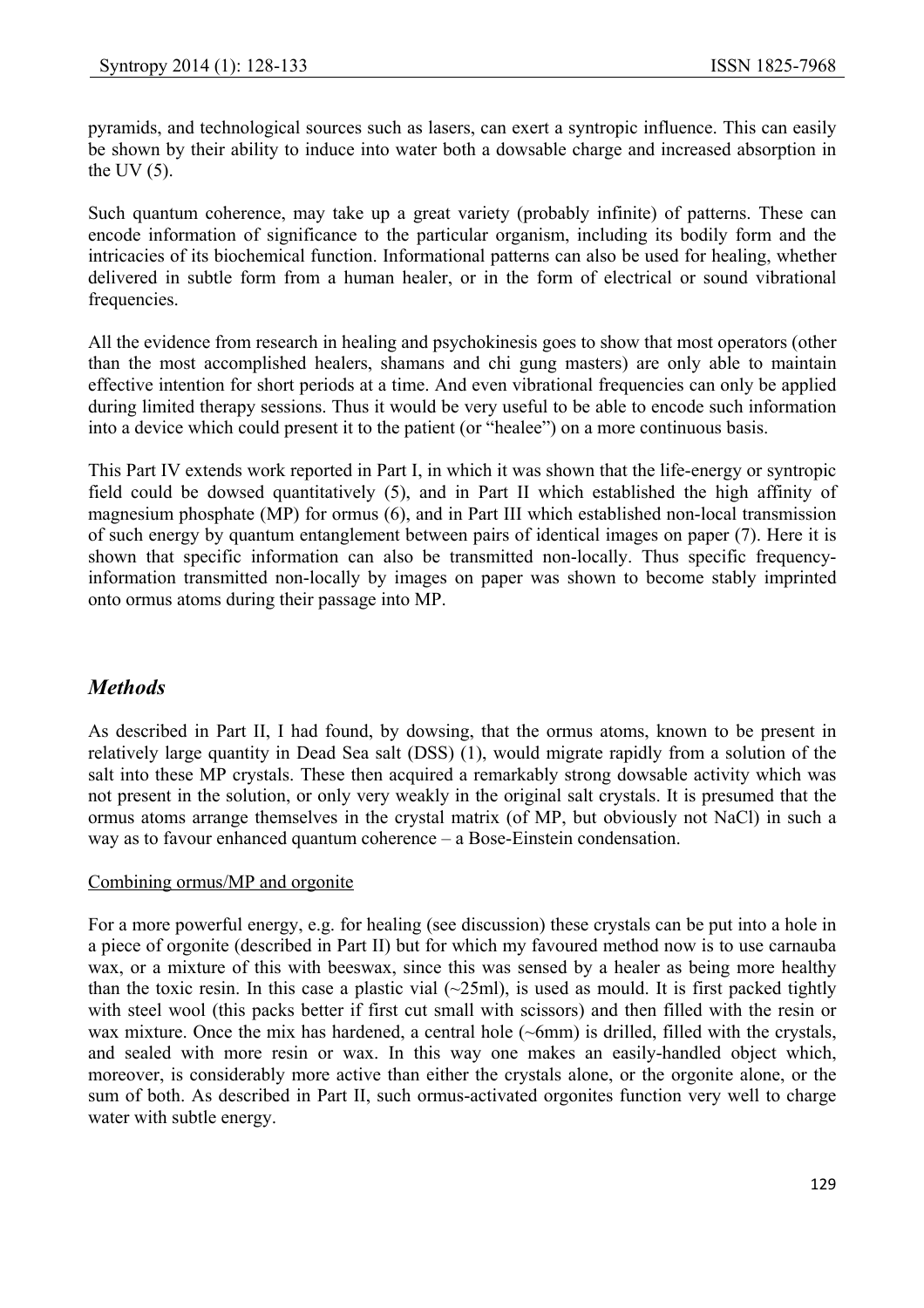pyramids, and technological sources such as lasers, can exert a syntropic influence. This can easily be shown by their ability to induce into water both a dowsable charge and increased absorption in the UV $(5)$ .

Such quantum coherence, may take up a great variety (probably infinite) of patterns. These can encode information of significance to the particular organism, including its bodily form and the intricacies of its biochemical function. Informational patterns can also be used for healing, whether delivered in subtle form from a human healer, or in the form of electrical or sound vibrational frequencies.

All the evidence from research in healing and psychokinesis goes to show that most operators (other than the most accomplished healers, shamans and chi gung masters) are only able to maintain effective intention for short periods at a time. And even vibrational frequencies can only be applied during limited therapy sessions. Thus it would be very useful to be able to encode such information into a device which could present it to the patient (or "healee") on a more continuous basis.

This Part IV extends work reported in Part I, in which it was shown that the life-energy or syntropic field could be dowsed quantitatively (5), and in Part II which established the high affinity of magnesium phosphate (MP) for ormus (6), and in Part III which established non-local transmission of such energy by quantum entanglement between pairs of identical images on paper (7). Here it is shown that specific information can also be transmitted non-locally. Thus specific frequencyinformation transmitted non-locally by images on paper was shown to become stably imprinted onto ormus atoms during their passage into MP.

## *Methods*

As described in Part II, I had found, by dowsing, that the ormus atoms, known to be present in relatively large quantity in Dead Sea salt (DSS) (1), would migrate rapidly from a solution of the salt into these MP crystals. These then acquired a remarkably strong dowsable activity which was not present in the solution, or only very weakly in the original salt crystals. It is presumed that the ormus atoms arrange themselves in the crystal matrix (of MP, but obviously not NaCl) in such a way as to favour enhanced quantum coherence – a Bose-Einstein condensation.

#### Combining ormus/MP and orgonite

For a more powerful energy, e.g. for healing (see discussion) these crystals can be put into a hole in a piece of orgonite (described in Part II) but for which my favoured method now is to use carnauba wax, or a mixture of this with beeswax, since this was sensed by a healer as being more healthy than the toxic resin. In this case a plastic vial  $(\sim 25 \text{ml})$ , is used as mould. It is first packed tightly with steel wool (this packs better if first cut small with scissors) and then filled with the resin or wax mixture. Once the mix has hardened, a central hole (~6mm) is drilled, filled with the crystals, and sealed with more resin or wax. In this way one makes an easily-handled object which, moreover, is considerably more active than either the crystals alone, or the orgonite alone, or the sum of both. As described in Part II, such ormus-activated orgonites function very well to charge water with subtle energy.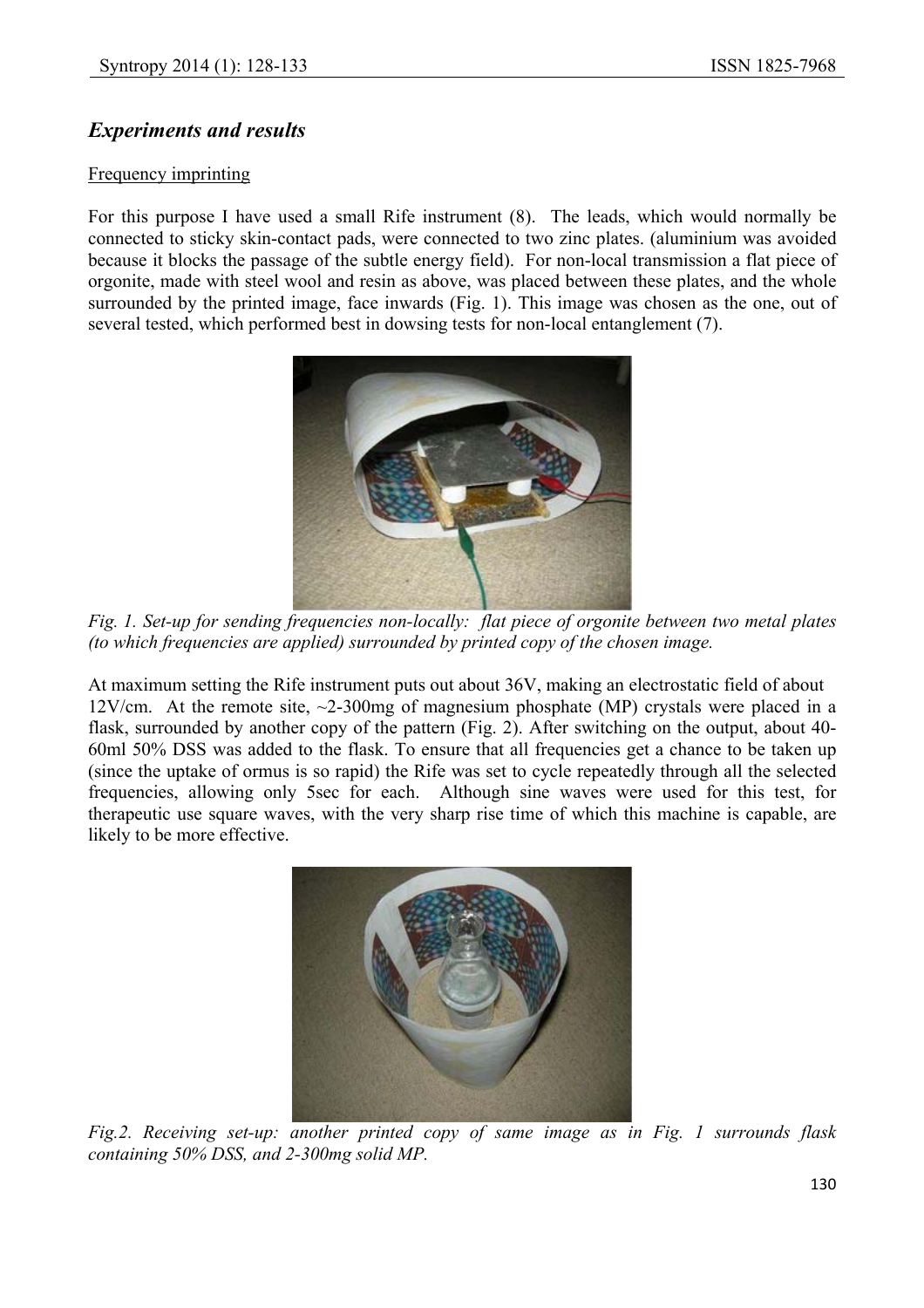## *Experiments and results*

#### Frequency imprinting

For this purpose I have used a small Rife instrument (8). The leads, which would normally be connected to sticky skin-contact pads, were connected to two zinc plates. (aluminium was avoided because it blocks the passage of the subtle energy field). For non-local transmission a flat piece of orgonite, made with steel wool and resin as above, was placed between these plates, and the whole surrounded by the printed image, face inwards (Fig. 1). This image was chosen as the one, out of several tested, which performed best in dowsing tests for non-local entanglement (7).



*Fig. 1. Set-up for sending frequencies non-locally: flat piece of orgonite between two metal plates (to which frequencies are applied) surrounded by printed copy of the chosen image.*

At maximum setting the Rife instrument puts out about 36V, making an electrostatic field of about 12V/cm. At the remote site,  $\sim$ 2-300mg of magnesium phosphate (MP) crystals were placed in a flask, surrounded by another copy of the pattern (Fig. 2). After switching on the output, about 40- 60ml 50% DSS was added to the flask. To ensure that all frequencies get a chance to be taken up (since the uptake of ormus is so rapid) the Rife was set to cycle repeatedly through all the selected frequencies, allowing only 5sec for each. Although sine waves were used for this test, for therapeutic use square waves, with the very sharp rise time of which this machine is capable, are likely to be more effective.



*Fig.2. Receiving set-up: another printed copy of same image as in Fig. 1 surrounds flask containing 50% DSS, and 2-300mg solid MP.*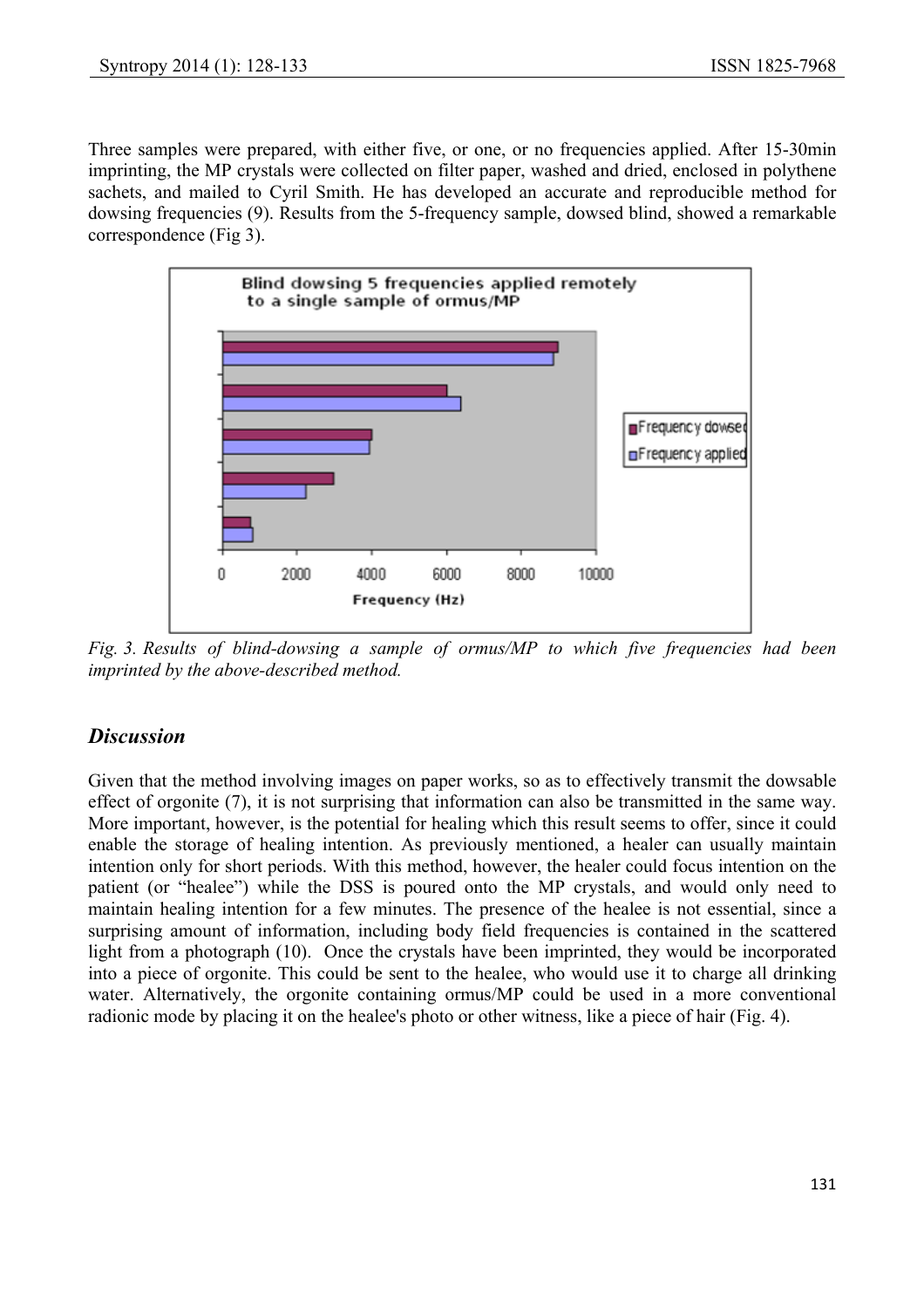Three samples were prepared, with either five, or one, or no frequencies applied. After 15-30min imprinting, the MP crystals were collected on filter paper, washed and dried, enclosed in polythene sachets, and mailed to Cyril Smith. He has developed an accurate and reproducible method for dowsing frequencies (9). Results from the 5-frequency sample, dowsed blind, showed a remarkable correspondence (Fig 3).



*Fig. 3. Results of blind-dowsing a sample of ormus/MP to which five frequencies had been imprinted by the above-described method.*

## *Discussion*

Given that the method involving images on paper works, so as to effectively transmit the dowsable effect of orgonite (7), it is not surprising that information can also be transmitted in the same way. More important, however, is the potential for healing which this result seems to offer, since it could enable the storage of healing intention. As previously mentioned, a healer can usually maintain intention only for short periods. With this method, however, the healer could focus intention on the patient (or "healee") while the DSS is poured onto the MP crystals, and would only need to maintain healing intention for a few minutes. The presence of the healee is not essential, since a surprising amount of information, including body field frequencies is contained in the scattered light from a photograph (10). Once the crystals have been imprinted, they would be incorporated into a piece of orgonite. This could be sent to the healee, who would use it to charge all drinking water. Alternatively, the orgonite containing ormus/MP could be used in a more conventional radionic mode by placing it on the healee's photo or other witness, like a piece of hair (Fig. 4).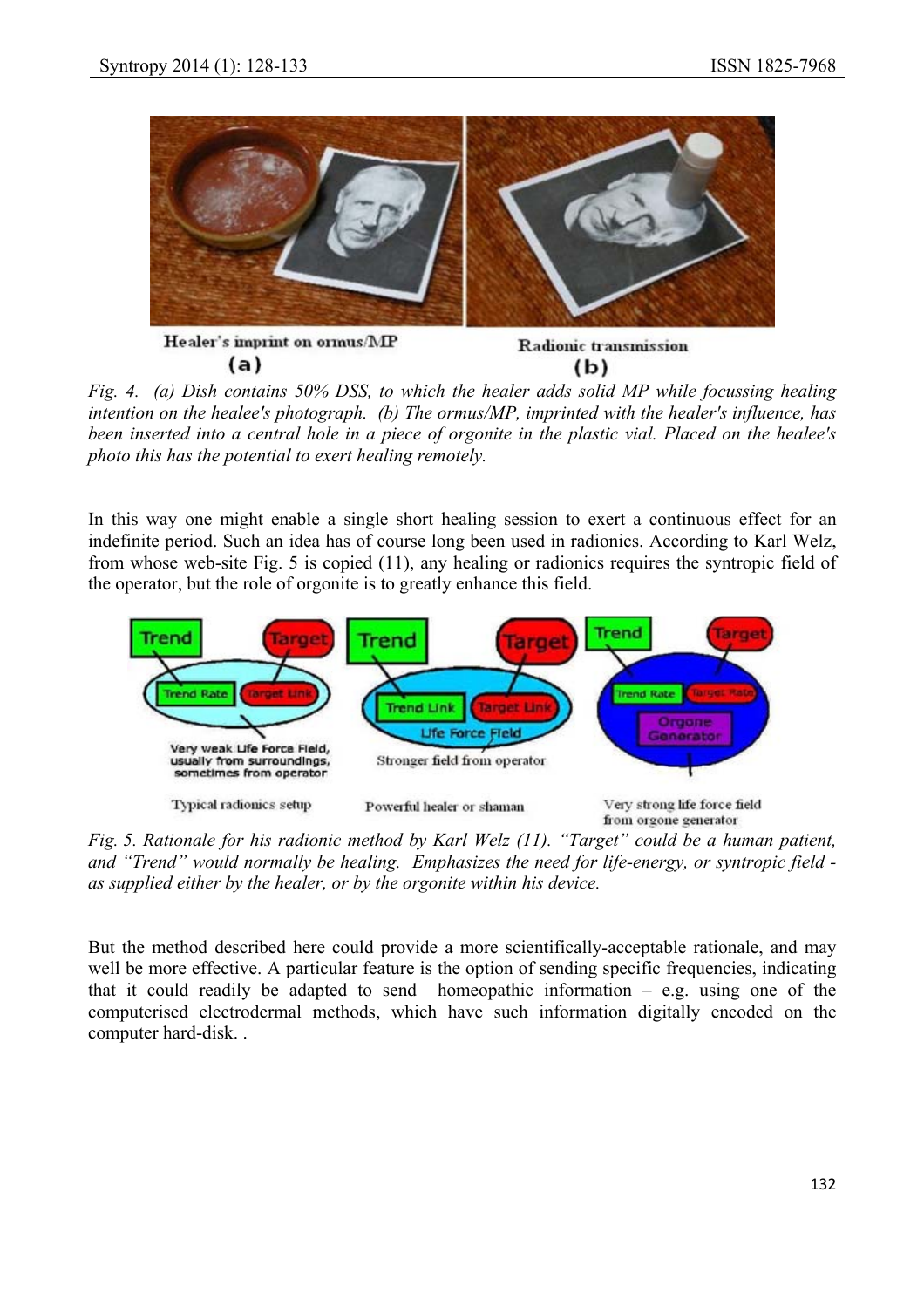

*Fig. 4. (a) Dish contains 50% DSS, to which the healer adds solid MP while focussing healing intention on the healee's photograph. (b) The ormus/MP, imprinted with the healer's influence, has been inserted into a central hole in a piece of orgonite in the plastic vial. Placed on the healee's photo this has the potential to exert healing remotely.*

In this way one might enable a single short healing session to exert a continuous effect for an indefinite period. Such an idea has of course long been used in radionics. According to Karl Welz, from whose web-site Fig. 5 is copied (11), any healing or radionics requires the syntropic field of the operator, but the role of orgonite is to greatly enhance this field.



*Fig. 5. Rationale for his radionic method by Karl Welz (11). "Target" could be a human patient, and "Trend" would normally be healing. Emphasizes the need for life-energy, or syntropic field as supplied either by the healer, or by the orgonite within his device.*

But the method described here could provide a more scientifically-acceptable rationale, and may well be more effective. A particular feature is the option of sending specific frequencies, indicating that it could readily be adapted to send homeopathic information  $-$  e.g. using one of the computerised electrodermal methods, which have such information digitally encoded on the computer hard-disk. .